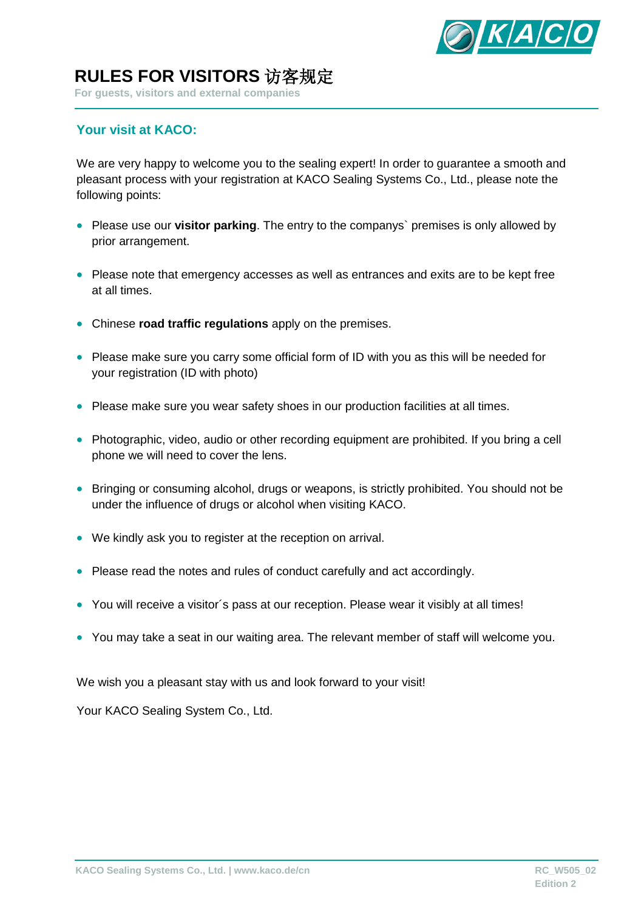

**For guests, visitors and external companies**

### **Your visit at KACO:**

We are very happy to welcome you to the sealing expert! In order to quarantee a smooth and pleasant process with your registration at KACO Sealing Systems Co., Ltd., please note the following points:

- Please use our **visitor parking**. The entry to the companys` premises is only allowed by prior arrangement.
- Please note that emergency accesses as well as entrances and exits are to be kept free at all times.
- Chinese **road traffic regulations** apply on the premises.
- Please make sure you carry some official form of ID with you as this will be needed for your registration (ID with photo)
- Please make sure you wear safety shoes in our production facilities at all times.
- Photographic, video, audio or other recording equipment are prohibited. If you bring a cell phone we will need to cover the lens.
- Bringing or consuming alcohol, drugs or weapons, is strictly prohibited. You should not be under the influence of drugs or alcohol when visiting KACO.
- We kindly ask you to register at the reception on arrival.
- Please read the notes and rules of conduct carefully and act accordingly.
- You will receive a visitor´s pass at our reception. Please wear it visibly at all times!
- You may take a seat in our waiting area. The relevant member of staff will welcome you.

We wish you a pleasant stay with us and look forward to your visit!

Your KACO Sealing System Co., Ltd.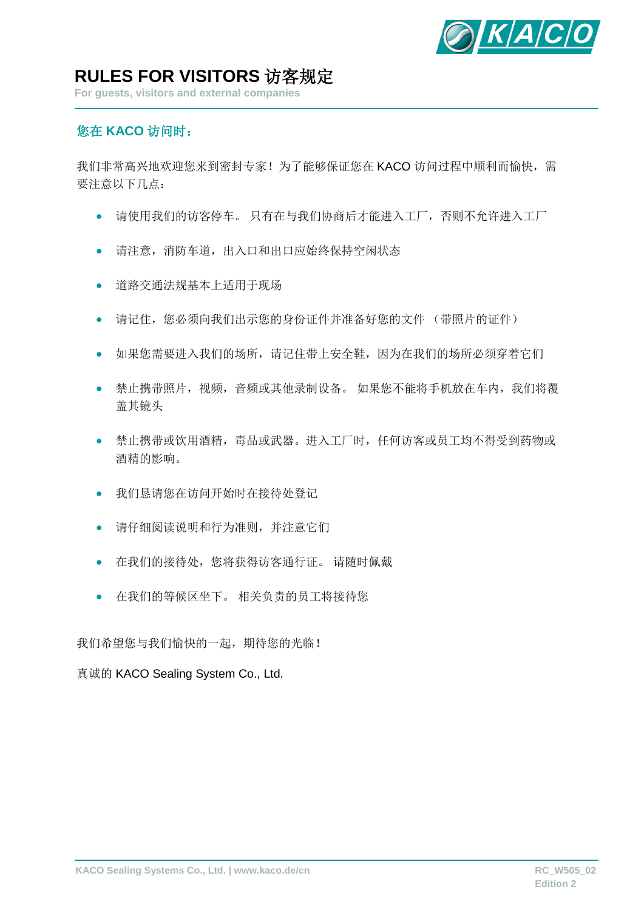

**For guests, visitors and external companies**

### 您在 **KACO** 访问时:

我们非常高兴地欢迎您来到密封专家!为了能够保证您在 KACO 访问过程中顺利而愉快, 需 要注意以下几点:

- 请使用我们的访客停车。 只有在与我们协商后才能进入工厂,否则不允许进入工厂
- 请注意,消防车道,出入口和出口应始终保持空闲状态
- 道路交通法规基本上适用于现场
- 请记住,您必须向我们出示您的身份证件并准备好您的文件 (带照片的证件)
- 如果您需要进入我们的场所,请记住带上安全鞋,因为在我们的场所必须穿着它们
- 禁止携带照片,视频,音频或其他录制设备。 如果您不能将手机放在车内,我们将覆 盖其镜头
- 禁止携带或饮用酒精,毒品或武器。进入工厂时,任何访客或员工均不得受到药物或 酒精的影响。
- 我们恳请您在访问开始时在接待处登记
- 请仔细阅读说明和行为准则,并注意它们
- 在我们的接待处,您将获得访客通行证。 请随时佩戴
- 在我们的等候区坐下。 相关负责的员工将接待您

我们希望您与我们愉快的一起,期待您的光临!

真诚的 KACO Sealing System Co., Ltd.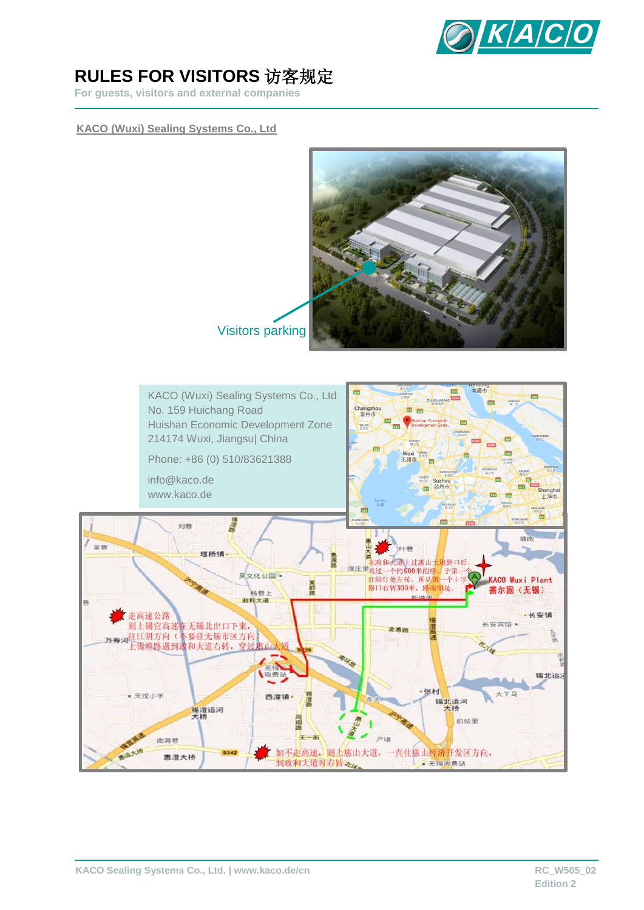

**For guests, visitors and external companies**

#### **KACO (Wuxi) Sealing Systems Co., Ltd**